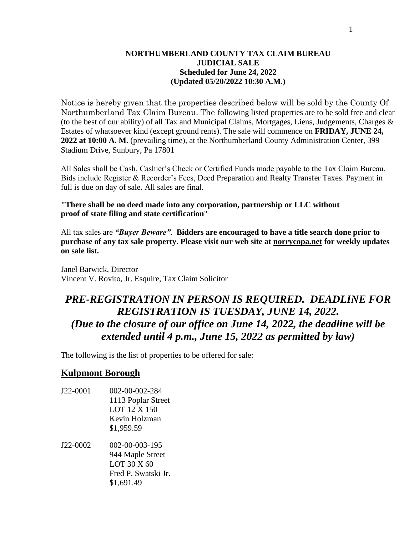#### **NORTHUMBERLAND COUNTY TAX CLAIM BUREAU JUDICIAL SALE Scheduled for June 24, 2022 (Updated 05/20/2022 10:30 A.M.)**

Notice is hereby given that the properties described below will be sold by the County Of Northumberland Tax Claim Bureau. The following listed properties are to be sold free and clear (to the best of our ability) of all Tax and Municipal Claims, Mortgages, Liens, Judgements, Charges & Estates of whatsoever kind (except ground rents). The sale will commence on **FRIDAY, JUNE 24, 2022 at 10:00 A. M.** (prevailing time), at the Northumberland County Administration Center, 399 Stadium Drive, Sunbury, Pa 17801

All Sales shall be Cash, Cashier's Check or Certified Funds made payable to the Tax Claim Bureau. Bids include Register & Recorder's Fees, Deed Preparation and Realty Transfer Taxes. Payment in full is due on day of sale. All sales are final.

**"There shall be no deed made into any corporation, partnership or LLC without proof of state filing and state certification**"

All tax sales are *"Buyer Beware"*. **Bidders are encouraged to have a title search done prior to purchase of any tax sale property. Please visit our web site at norrycopa.net for weekly updates on sale list.**

Janel Barwick, Director Vincent V. Rovito, Jr. Esquire, Tax Claim Solicitor

# *PRE-REGISTRATION IN PERSON IS REQUIRED. DEADLINE FOR REGISTRATION IS TUESDAY, JUNE 14, 2022. (Due to the closure of our office on June 14, 2022, the deadline will be extended until 4 p.m., June 15, 2022 as permitted by law)*

The following is the list of properties to be offered for sale:

## **Kulpmont Borough**

- J22-0001 002-00-002-284 1113 Poplar Street LOT 12 X 150 Kevin Holzman \$1,959.59
- J22-0002 002-00-003-195 944 Maple Street LOT 30 X 60 Fred P. Swatski Jr. \$1,691.49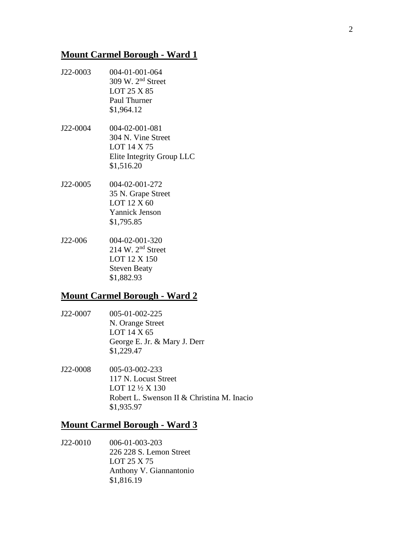# **Mount Carmel Borough - Ward 1**

- J22-0003 004-01-001-064 309 W. 2nd Street LOT 25 X 85 Paul Thurner \$1,964.12
- J22-0004 004-02-001-081 304 N. Vine Street LOT 14 X 75 Elite Integrity Group LLC \$1,516.20
- J22-0005 004-02-001-272 35 N. Grape Street LOT 12 X 60 Yannick Jenson \$1,795.85
- J22-006 004-02-001-320 214 W. 2nd Street LOT 12 X 150 Steven Beaty \$1,882.93

# **Mount Carmel Borough - Ward 2**

- J22-0007 005-01-002-225 N. Orange Street LOT 14 X 65 George E. Jr. & Mary J. Derr \$1,229.47
- J22-0008 005-03-002-233 117 N. Locust Street LOT 12 ½ X 130 Robert L. Swenson II & Christina M. Inacio \$1,935.97

## **Mount Carmel Borough - Ward 3**

J22-0010 006-01-003-203 226 228 S. Lemon Street LOT 25 X 75 Anthony V. Giannantonio \$1,816.19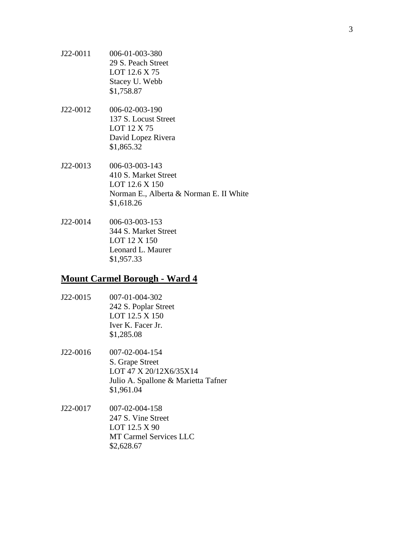- J22-0011 006-01-003-380 29 S. Peach Street LOT 12.6 X 75 Stacey U. Webb \$1,758.87
- J22-0012 006-02-003-190 137 S. Locust Street LOT 12 X 75 David Lopez Rivera \$1,865.32
- J22-0013 006-03-003-143 410 S. Market Street LOT 12.6 X 150 Norman E., Alberta & Norman E. II White \$1,618.26
- J22-0014 006-03-003-153 344 S. Market Street LOT 12 X 150 Leonard L. Maurer \$1,957.33

#### **Mount Carmel Borough - Ward 4**

- J22-0015 007-01-004-302 242 S. Poplar Street LOT 12.5 X 150 Iver K. Facer Jr. \$1,285.08
- J22-0016 007-02-004-154 S. Grape Street LOT 47 X 20/12X6/35X14 Julio A. Spallone & Marietta Tafner \$1,961.04
- J22-0017 007-02-004-158 247 S. Vine Street LOT 12.5 X 90 MT Carmel Services LLC \$2,628.67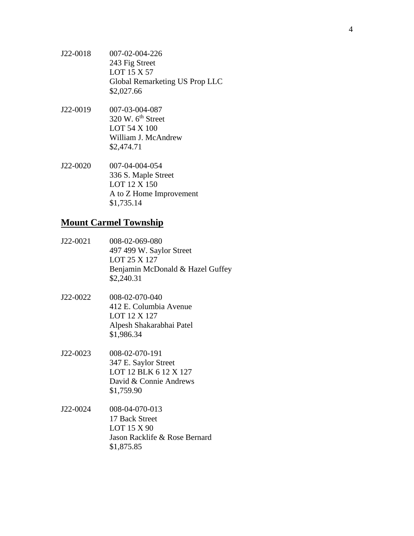- J22-0018 007-02-004-226 243 Fig Street LOT 15 X 57 Global Remarketing US Prop LLC \$2,027.66
- J22-0019 007-03-004-087  $320$  W.  $6<sup>th</sup>$  Street LOT 54 X 100 William J. McAndrew \$2,474.71
- J22-0020 007-04-004-054 336 S. Maple Street LOT 12 X 150 A to Z Home Improvement \$1,735.14

#### **Mount Carmel Township**

- J22-0021 008-02-069-080 497 499 W. Saylor Street LOT 25 X 127 Benjamin McDonald & Hazel Guffey \$2,240.31
- J22-0022 008-02-070-040 412 E. Columbia Avenue LOT 12 X 127 Alpesh Shakarabhai Patel \$1,986.34
- J22-0023 008-02-070-191 347 E. Saylor Street LOT 12 BLK 6 12 X 127 David & Connie Andrews \$1,759.90
- J22-0024 008-04-070-013 17 Back Street LOT 15 X 90 Jason Racklife & Rose Bernard \$1,875.85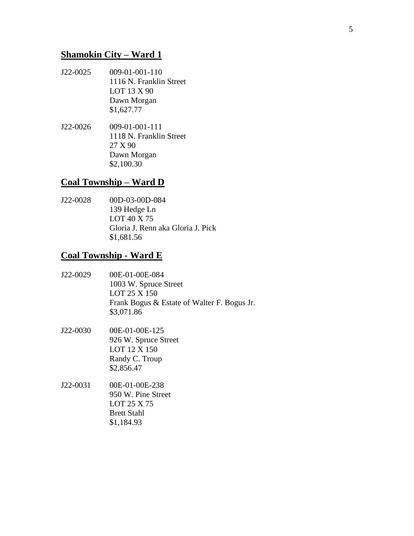## **Shamokin City – Ward 1**

- J22-0025 009-01-001-110 1116 N. Franklin Street LOT 13 X 90 Dawn Morgan \$1,627.77
- J22-0026 009-01-001-111 1118 N. Franklin Street 27 X 90 Dawn Morgan \$2,100.30

#### **Coal Township – Ward D**

J22-0028 00D-03-00D-084 139 Hedge Ln LOT 40 X 75 Gloria J. Renn aka Gloria J. Pick \$1,681.56

# **Coal Township - Ward E**

- J22-0029 00E-01-00E-084 1003 W. Spruce Street LOT 25 X 150 Frank Bogus & Estate of Walter F. Bogus Jr. \$3,071.86
- J22-0030 00E-01-00E-125 926 W. Spruce Street LOT 12 X 150 Randy C. Troup \$2,856.47
- J22-0031 00E-01-00E-238 950 W. Pine Street LOT 25 X 75 Brett Stahl \$1,184.93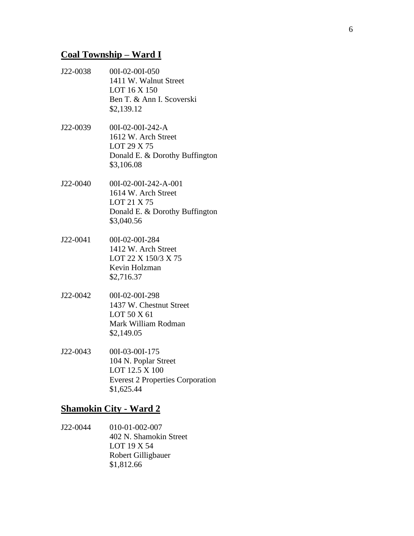## **Coal Township – Ward I**

- J22-0038 00I-02-00I-050 1411 W. Walnut Street LOT 16 X 150 Ben T. & Ann I. Scoverski \$2,139.12
- J22-0039 00I-02-00I-242-A 1612 W. Arch Street LOT 29 X 75 Donald E. & Dorothy Buffington \$3,106.08
- J22-0040 00I-02-00I-242-A-001 1614 W. Arch Street LOT 21 X 75 Donald E. & Dorothy Buffington \$3,040.56
- J22-0041 00I-02-00I-284 1412 W. Arch Street LOT 22 X 150/3 X 75 Kevin Holzman \$2,716.37
- J22-0042 00I-02-00I-298 1437 W. Chestnut Street LOT 50 X 61 Mark William Rodman \$2,149.05
- J22-0043 00I-03-00I-175 104 N. Poplar Street LOT 12.5 X 100 Everest 2 Properties Corporation \$1,625.44

## **Shamokin City - Ward 2**

J22-0044 010-01-002-007 402 N. Shamokin Street LOT 19 X 54 Robert Gilligbauer \$1,812.66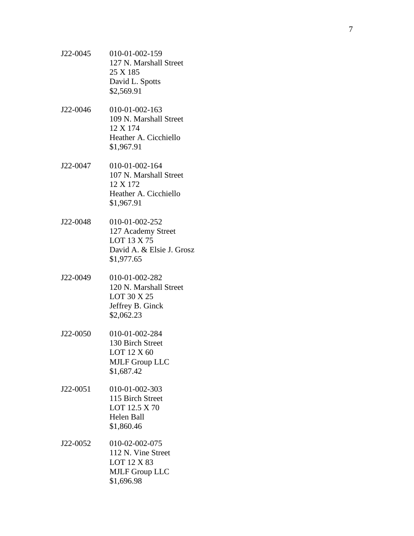- J22 -0045 010 -01 -002 -159 127 N. Marshall Street 25 X 185 David L. Spotts \$2,569.91
- J22 -0046 010 -01 -002 -163 109 N. Marshall Street 12 X 174 Heather A. Cicchiello \$1,967.91
- J22 -0047 010 -01 -002 -164 107 N. Marshall Street 12 X 172 Heather A. Cicchiello \$1,967.91
- J22 -0048 010 -01 -002 -252 127 Academy Street LOT 13 X 75 David A. & Elsie J. Grosz \$1,977.65
- J22 -0049 010 -01 -002 -282 120 N. Marshall Street LOT 30 X 25 Jeffrey B. Ginck \$2,062.23
- J22 -0050 010 -01 -002 -284 130 Birch Street LOT 12 X 60 MJLF Group LLC \$1,687.42
- J22 -0051 010 -01 -002 -303 115 Birch Street LOT 12.5 X 70 Helen Ball \$1,860.46
- J22 -0052 010 -02 -002 -075 112 N. Vine Street LOT 12 X 83 MJLF Group LLC \$1,696.98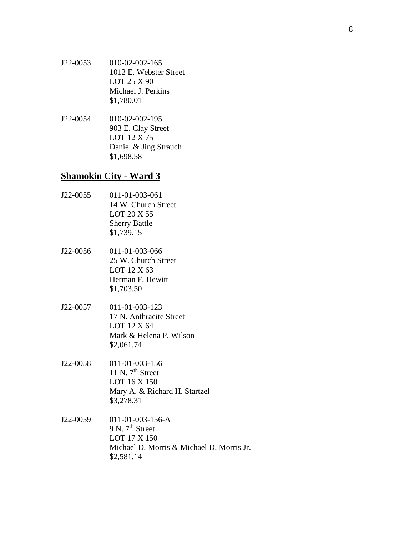- J22-0053 010-02-002-165 1012 E. Webster Street LOT 25 X 90 Michael J. Perkins \$1,780.01
- J22-0054 010-02-002-195 903 E. Clay Street LOT 12 X 75 Daniel & Jing Strauch \$1,698.58

# **Shamokin City - Ward 3**

- J22-0055 011-01-003-061 14 W. Church Street LOT 20 X 55 Sherry Battle \$1,739.15
- J22-0056 011-01-003-066 25 W. Church Street LOT 12 X 63 Herman F. Hewitt \$1,703.50
- J22-0057 011-01-003-123 17 N. Anthracite Street LOT 12 X 64 Mark & Helena P. Wilson \$2,061.74
- J22-0058 011-01-003-156 11 N.  $7<sup>th</sup>$  Street LOT 16 X 150 Mary A. & Richard H. Startzel \$3,278.31
- J22-0059 011-01-003-156-A 9 N. 7<sup>th</sup> Street LOT 17 X 150 Michael D. Morris & Michael D. Morris Jr. \$2,581.14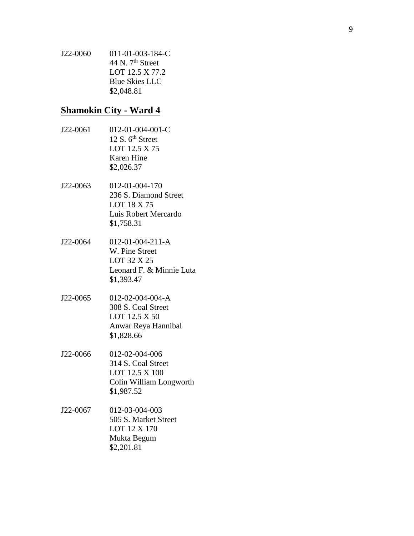J22 -0060 011 -01 -003 -184 - C 44 N.  $7<sup>th</sup>$  Street LOT 12.5 X 77.2 Blue Skies LLC \$2,048.81

#### **Shamokin City - Ward 4**

- J22 -0061 012 -01 -004 -001 - C 12 S.  $6<sup>th</sup>$  Street LOT 12.5 X 75 Karen Hine \$2,026.37
- J22 -0063 012 -01 -004 -170 236 S. Diamond Street LOT 18 X 75 Luis Robert Mercardo \$1,758.31
- J22 -0064 012  $-01 - 004 - 211 - A$ W. Pine Street LOT 32 X 25 Leonard F. & Minnie Luta \$1,393.47
- J22 -0065 012 -02 -004 -004 - A 308 S. Coal Street LOT 12.5 X 50 Anwar Reya Hannibal \$1,828.66
- J22 -0066 012 -02 -004 -006 314 S. Coal Street LOT 12.5 X 100 Colin William Longworth \$1,987.52
- J22 -0067 012 -03 -004 -003 505 S. Market Street LOT 12 X 170 Mukta Begum \$2,201.81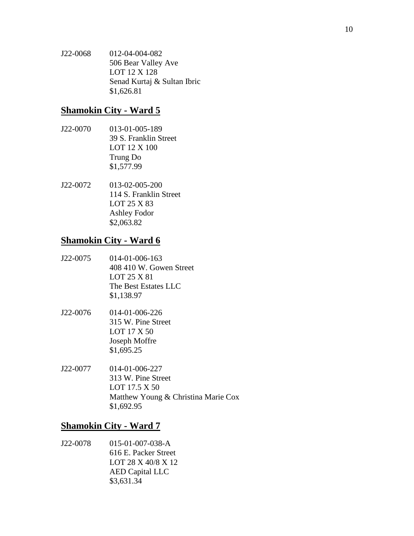J22-0068 012-04-004-082 506 Bear Valley Ave LOT 12 X 128 Senad Kurtaj & Sultan Ibric \$1,626.81

# **Shamokin City - Ward 5**

- J22-0070 013-01-005-189 39 S. Franklin Street LOT 12 X 100 Trung Do \$1,577.99
- J22-0072 013-02-005-200 114 S. Franklin Street LOT 25 X 83 Ashley Fodor \$2,063.82

## **Shamokin City - Ward 6**

- J22-0075 014-01-006-163 408 410 W. Gowen Street LOT 25 X 81 The Best Estates LLC \$1,138.97
- J22-0076 014-01-006-226 315 W. Pine Street LOT 17 X 50 Joseph Moffre \$1,695.25
- J22-0077 014-01-006-227 313 W. Pine Street LOT 17.5 X 50 Matthew Young & Christina Marie Cox \$1,692.95

# **Shamokin City - Ward 7**

J22-0078 015-01-007-038-A 616 E. Packer Street LOT 28 X 40/8 X 12 AED Capital LLC \$3,631.34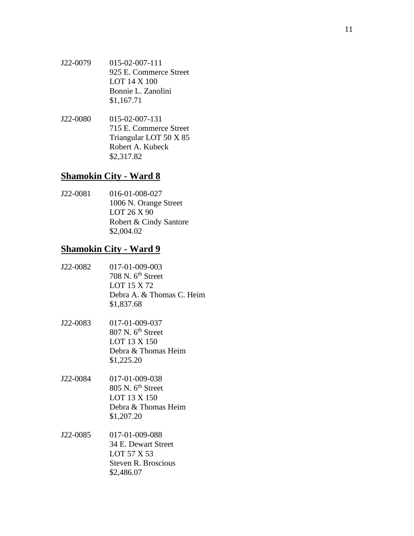- J22 -0079 015 -02 -007 -111 925 E. Commerce Street LOT 14 X 100 Bonnie L. Zanolini \$1,167.71
- J22 -0080 015 -02 -007 -131 715 E. Commerce Street Triangular LOT 50 X 85 Robert A. Kubeck \$2,317.82

## **Shamokin City - Ward 8**

J22 -0081 016 -01 -008 -027 1006 N. Orange Street LOT 26 X 90 Robert & Cindy Santore \$2,004.02

#### **Shamokin City - Ward 9**

- J22 -0082 017 -01 -009 -003 708 N. 6<sup>th</sup> Street LOT 15 X 72 Debra A. & Thomas C. Heim \$1,837.68
- J22 -0083 017 -01 -009 -037  $807$  N.  $6<sup>th</sup>$  Street LOT 13 X 150 Debra & Thomas Heim \$1,225.20
- J22 -0084 017 -01 -009 -038 805 N. 6<sup>th</sup> Street LOT 13 X 150 Debra & Thomas Heim \$1,207.20
- J22 -0085 017 -01 -009 -088 34 E. Dewart Street LOT 57 X 53 Steven R. Broscious \$2,486.07